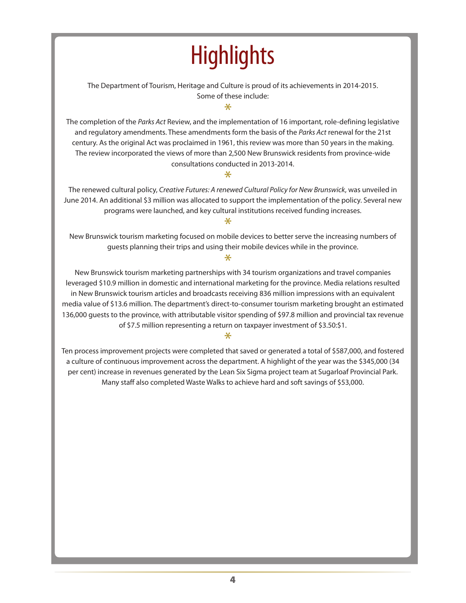# **Highlights**

The Department of Tourism, Heritage and Culture is proud of its achievements in 2014-2015. Some of these include:

\*

The completion of the *Parks Act* Review, and the implementation of 16 important, role-defining legislative and regulatory amendments. These amendments form the basis of the *Parks Act* renewal for the 21st century. As the original Act was proclaimed in 1961, this review was more than 50 years in the making. The review incorporated the views of more than 2,500 New Brunswick residents from province-wide consultations conducted in 2013-2014.

#### $\ast$

The renewed cultural policy, *Creative Futures: A renewed Cultural Policy for New Brunswick*, was unveiled in June 2014. An additional \$3 million was allocated to support the implementation of the policy. Several new programs were launched, and key cultural institutions received funding increases.

#### $\ast$

New Brunswick tourism marketing focused on mobile devices to better serve the increasing numbers of guests planning their trips and using their mobile devices while in the province.

 $\ast$ 

New Brunswick tourism marketing partnerships with 34 tourism organizations and travel companies leveraged \$10.9 million in domestic and international marketing for the province. Media relations resulted in New Brunswick tourism articles and broadcasts receiving 836 million impressions with an equivalent media value of \$13.6 million. The department's direct-to-consumer tourism marketing brought an estimated 136,000 guests to the province, with attributable visitor spending of \$97.8 million and provincial tax revenue of \$7.5 million representing a return on taxpayer investment of \$3.50:\$1.

#### $\ast$

Ten process improvement projects were completed that saved or generated a total of \$587,000, and fostered a culture of continuous improvement across the department. A highlight of the year was the \$345,000 (34 per cent) increase in revenues generated by the Lean Six Sigma project team at Sugarloaf Provincial Park. Many staff also completed Waste Walks to achieve hard and soft savings of \$53,000.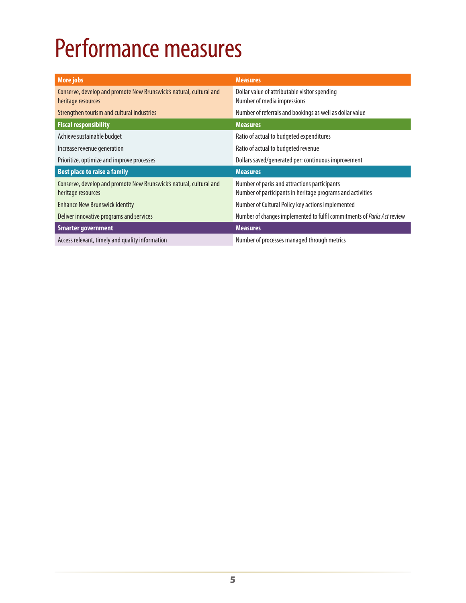# Performance measures

| <b>More jobs</b>                                                                          | <b>Measures</b>                                                                                            |
|-------------------------------------------------------------------------------------------|------------------------------------------------------------------------------------------------------------|
| Conserve, develop and promote New Brunswick's natural, cultural and<br>heritage resources | Dollar value of attributable visitor spending<br>Number of media impressions                               |
| Strengthen tourism and cultural industries                                                | Number of referrals and bookings as well as dollar value                                                   |
| <b>Fiscal responsibility</b>                                                              | <b>Measures</b>                                                                                            |
| Achieve sustainable budget                                                                | Ratio of actual to budgeted expenditures                                                                   |
| Increase revenue generation                                                               | Ratio of actual to budgeted revenue                                                                        |
| Prioritize, optimize and improve processes                                                | Dollars saved/generated per: continuous improvement                                                        |
| <b>Best place to raise a family</b>                                                       | <b>Measures</b>                                                                                            |
| Conserve, develop and promote New Brunswick's natural, cultural and<br>heritage resources | Number of parks and attractions participants<br>Number of participants in heritage programs and activities |
| <b>Enhance New Brunswick identity</b>                                                     | Number of Cultural Policy key actions implemented                                                          |
| Deliver innovative programs and services                                                  | Number of changes implemented to fulfil commitments of Parks Act review                                    |
| <b>Smarter government</b>                                                                 | <b>Measures</b>                                                                                            |
| Access relevant, timely and quality information                                           | Number of processes managed through metrics                                                                |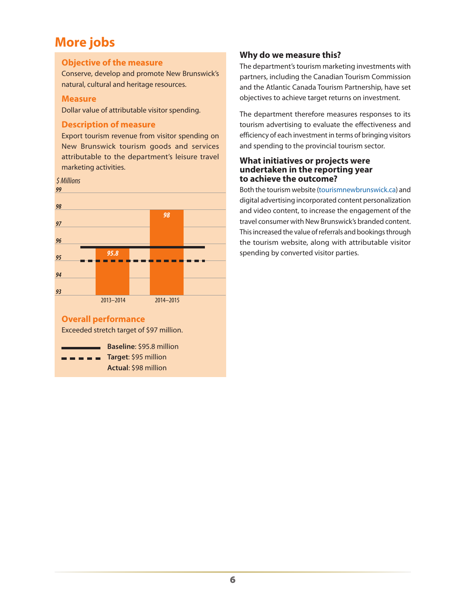## **More jobs**

#### **Objective of the measure**

Conserve, develop and promote New Brunswick's natural, cultural and heritage resources.

#### **Measure**

Dollar value of attributable visitor spending.

#### **Description of measure**

Export tourism revenue from visitor spending on New Brunswick tourism goods and services attributable to the department's leisure travel marketing activities.



#### **Overall performance**

Exceeded stretch target of \$97 million.

**Baseline**: \$95.8 million **Target**: \$95 million **Actual**: \$98 million

#### **Why do we measure this?**

The department's tourism marketing investments with partners, including the Canadian Tourism Commission and the Atlantic Canada Tourism Partnership, have set objectives to achieve target returns on investment.

The department therefore measures responses to its tourism advertising to evaluate the effectiveness and efficiency of each investment in terms of bringing visitors and spending to the provincial tourism sector.

#### **What initiatives or projects were undertaken in the reporting year to achieve the outcome?**

Both the tourism website [\(tourismnewbrunswick.ca](http://tourismnewbrunswick.ca)) and digital advertising incorporated content personalization and video content, to increase the engagement of the travel consumer with New Brunswick's branded content. This increased the value of referrals and bookings through the tourism website, along with attributable visitor spending by converted visitor parties.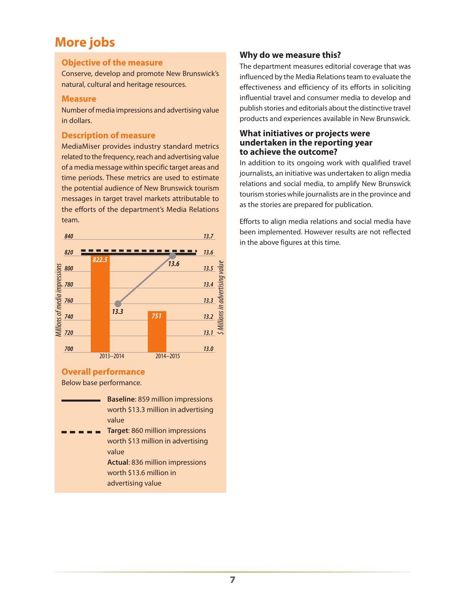### **More jobs**

#### **Objective of the measure**

Conserve, develop and promote New Brunswick's natural, cultural and heritage resources.

#### **Measure**

Number of media impressions and advertising value in dollars.

#### **Description of measure**

MediaMiser provides industry standard metrics related to the frequency, reach and advertising value of a media message within specific target areas and time periods. These metrics are used to estimate the potential audience of New Brunswick tourism messages in target travel markets attributable to the efforts of the department's Media Relations team.



#### **Overall performance**

Below base performance.

- **Baseline**: 859 million impressions worth \$13.3 million in advertising value
- **Target**: 860 million impressions worth \$13 million in advertising value

**Actual**: 836 million impressions worth \$13.6 million in advertising value

#### **Why do we measure this?**

The department measures editorial coverage that was influenced by the Media Relations team to evaluate the effectiveness and efficiency of its efforts in soliciting influential travel and consumer media to develop and publish stories and editorials about the distinctive travel products and experiences available in New Brunswick.

#### **What initiatives or projects were undertaken in the reporting year to achieve the outcome?**

In addition to its ongoing work with qualified travel journalists, an initiative was undertaken to align media relations and social media, to amplify New Brunswick tourism stories while journalists are in the province and as the stories are prepared for publication.

Efforts to align media relations and social media have been implemented. However results are not reflected in the above figures at this time.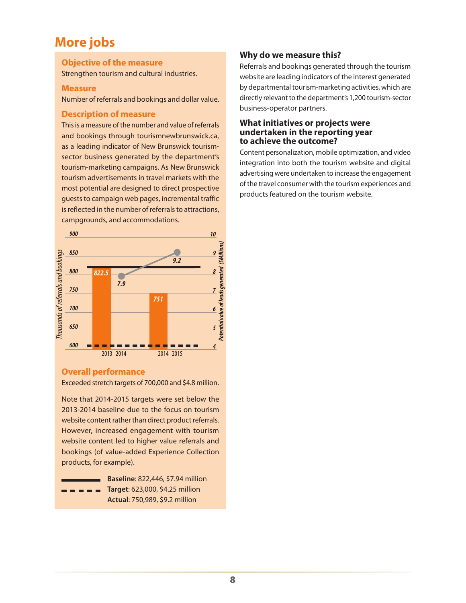### **More jobs**

#### **Objective of the measure**

Strengthen tourism and cultural industries.

#### **Measure**

Number of referrals and bookings and dollar value.

#### **Description of measure**

This is a measure of the number and value of referrals and bookings through tourismnewbrunswick.ca, as a leading indicator of New Brunswick tourismsector business generated by the department's tourism-marketing campaigns. As New Brunswick tourism advertisements in travel markets with the most potential are designed to direct prospective guests to campaign web pages, incremental traffic is reflected in the number of referrals to attractions, campgrounds, and accommodations.



#### **Overall performance**

Exceeded stretch targets of 700,000 and \$4.8 million.

Note that 2014-2015 targets were set below the 2013-2014 baseline due to the focus on tourism website content rather than direct product referrals. However, increased engagement with tourism website content led to higher value referrals and bookings (of value-added Experience Collection products, for example).

| Baseline: 822,446, \$7.94 million               |
|-------------------------------------------------|
| $=$ $=$ $=$ $=$ Target: 623,000, \$4.25 million |
| Actual: 750,989, \$9.2 million                  |

#### **Why do we measure this?**

Referrals and bookings generated through the tourism website are leading indicators of the interest generated by departmental tourism-marketing activities, which are directly relevant to the department's 1,200 tourism-sector business-operator partners.

#### **What initiatives or projects were undertaken in the reporting year to achieve the outcome?**

Content personalization, mobile optimization, and video integration into both the tourism website and digital advertising were undertaken to increase the engagement of the travel consumer with the tourism experiences and products featured on the tourism website.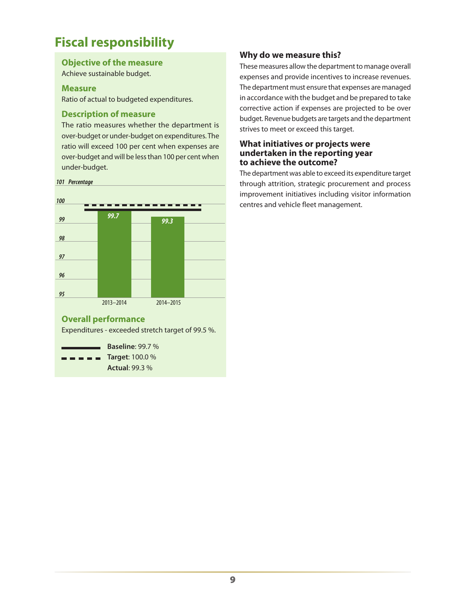## **Fiscal responsibility**

#### **Objective of the measure**

Achieve sustainable budget.

#### **Measure**

Ratio of actual to budgeted expenditures.

#### **Description of measure**

The ratio measures whether the department is over-budget or under-budget on expenditures. The ratio will exceed 100 per cent when expenses are over-budget and will be less than 100 per cent when under-budget.



**Actual**: 99.3 %

#### **Why do we measure this?**

These measures allow the department to manage overall expenses and provide incentives to increase revenues. The department must ensure that expenses are managed in accordance with the budget and be prepared to take corrective action if expenses are projected to be over budget. Revenue budgets are targets and the department strives to meet or exceed this target.

#### **What initiatives or projects were undertaken in the reporting year to achieve the outcome?**

The department was able to exceed its expenditure target through attrition, strategic procurement and process improvement initiatives including visitor information centres and vehicle fleet management.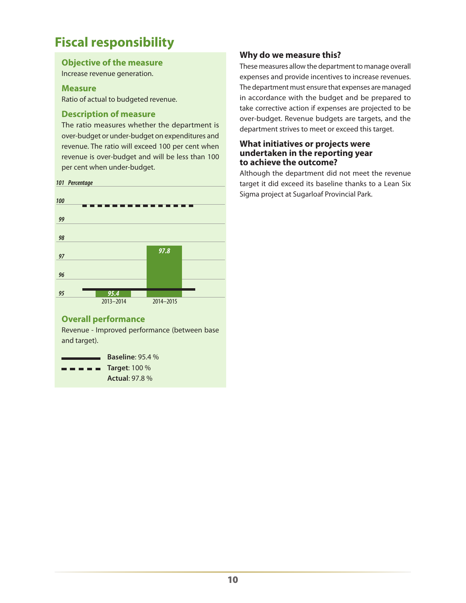## **Fiscal responsibility**

#### **Objective of the measure**

Increase revenue generation.

#### **Measure**

Ratio of actual to budgeted revenue.

#### **Description of measure**

The ratio measures whether the department is over-budget or under-budget on expenditures and revenue. The ratio will exceed 100 per cent when revenue is over-budget and will be less than 100 per cent when under-budget.



#### **Overall performance**

Revenue - Improved performance (between base and target).

**Baseline**: 95.4 % **Target**: 100 % *<u>Property</u>* **Actual**: 97.8 %

#### **Why do we measure this?**

These measures allow the department to manage overall expenses and provide incentives to increase revenues. The department must ensure that expenses are managed in accordance with the budget and be prepared to take corrective action if expenses are projected to be over-budget. Revenue budgets are targets, and the department strives to meet or exceed this target.

#### **What initiatives or projects were undertaken in the reporting year to achieve the outcome?**

Although the department did not meet the revenue target it did exceed its baseline thanks to a Lean Six Sigma project at Sugarloaf Provincial Park.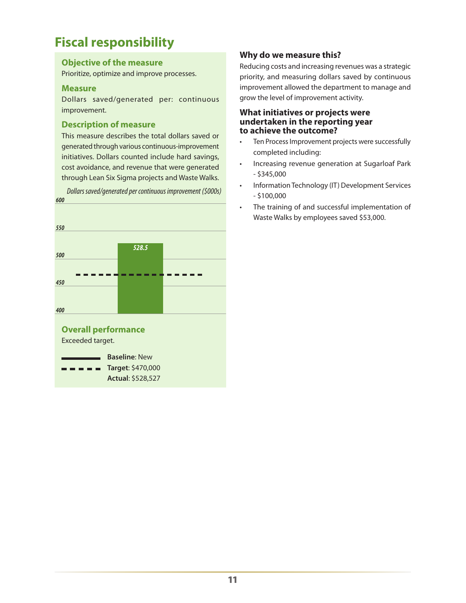## **Fiscal responsibility**

#### **Objective of the measure**

Prioritize, optimize and improve processes.

#### **Measure**

Dollars saved/generated per: continuous improvement.

#### **Description of measure**

This measure describes the total dollars saved or generated through various continuous-improvement initiatives. Dollars counted include hard savings, cost avoidance, and revenue that were generated through Lean Six Sigma projects and Waste Walks.

*600 550 528.5 500 450 400*  **Overall performance** Exceeded target. **Baseline**: New **Target**: \$470,000 ----

**Actual**: \$528,527

*Dollars saved/generated per continuous improvement (\$000s)*

#### **Why do we measure this?**

Reducing costs and increasing revenues was a strategic priority, and measuring dollars saved by continuous improvement allowed the department to manage and grow the level of improvement activity.

**What initiatives or projects were undertaken in the reporting year to achieve the outcome?**

- Ten Process Improvement projects were successfully completed including:
- Increasing revenue generation at Sugarloaf Park - \$345,000
- Information Technology (IT) Development Services  $-5100.000$
- The training of and successful implementation of Waste Walks by employees saved \$53,000.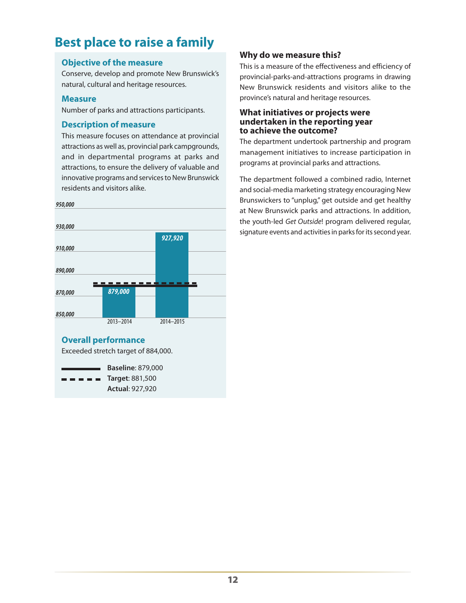## **Best place to raise a family**

#### **Objective of the measure**

Conserve, develop and promote New Brunswick's natural, cultural and heritage resources.

#### **Measure**

Number of parks and attractions participants.

#### **Description of measure**

This measure focuses on attendance at provincial attractions as well as, provincial park campgrounds, and in departmental programs at parks and attractions, to ensure the delivery of valuable and innovative programs and services to New Brunswick residents and visitors alike.



**Actual**: 927,920

#### **Why do we measure this?**

This is a measure of the effectiveness and efficiency of provincial-parks-and-attractions programs in drawing New Brunswick residents and visitors alike to the province's natural and heritage resources.

#### **What initiatives or projects were undertaken in the reporting year to achieve the outcome?**

The department undertook partnership and program management initiatives to increase participation in programs at provincial parks and attractions.

The department followed a combined radio, Internet and social-media marketing strategy encouraging New Brunswickers to "unplug," get outside and get healthy at New Brunswick parks and attractions. In addition, the youth-led *Get Outside*! program delivered regular, signature events and activities in parks for its second year.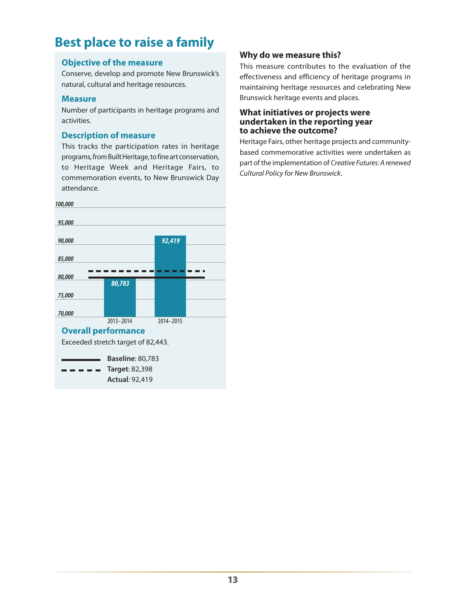## **Best place to raise a family**

#### **Objective of the measure**

Conserve, develop and promote New Brunswick's natural, cultural and heritage resources.

#### **Measure**

Number of participants in heritage programs and activities.

#### **Description of measure**

This tracks the participation rates in heritage programs, from Built Heritage, to fine art conservation, to Heritage Week and Heritage Fairs, to commemoration events, to New Brunswick Day attendance.



#### **Why do we measure this?**

This measure contributes to the evaluation of the effectiveness and efficiency of heritage programs in maintaining heritage resources and celebrating New Brunswick heritage events and places.

#### **What initiatives or projects were undertaken in the reporting year to achieve the outcome?**

Heritage Fairs, other heritage projects and communitybased commemorative activities were undertaken as part of the implementation of *Creative Futures: A renewed Cultural Policy for New Brunswick*.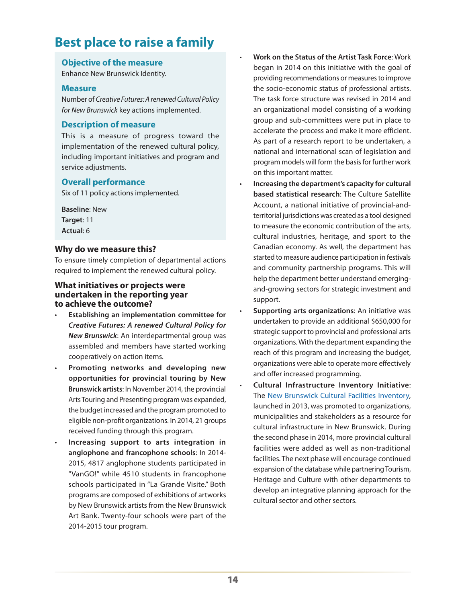## **Best place to raise a family**

#### **Objective of the measure**

Enhance New Brunswick Identity.

#### **Measure**

Number of *Creative Futures: A renewed Cultural Policy for New Brunswick* key actions implemented.

#### **Description of measure**

This is a measure of progress toward the implementation of the renewed cultural policy, including important initiatives and program and service adjustments.

#### **Overall performance**

Six of 11 policy actions implemented.

**Baseline**: New **Target**: 11 **Actual**: 6

#### **Why do we measure this?**

To ensure timely completion of departmental actions required to implement the renewed cultural policy.

#### **What initiatives or projects were undertaken in the reporting year to achieve the outcome?**

- **Establishing an implementation committee for** *Creative Futures: A renewed Cultural Policy for New Brunswick*: An interdepartmental group was assembled and members have started working cooperatively on action items.
- Promoting networks and developing new **opportunities for provincial touring by New Brunswick artists**: In November 2014, the provincial Arts Touring and Presenting program was expanded, the budget increased and the program promoted to eligible non-profit organizations. In 2014, 21 groups received funding through this program.
- Increasing support to arts integration in **anglophone and francophone schools**: In 2014- 2015, 4817 anglophone students participated in "VanGO!" while 4510 students in francophone schools participated in "La Grande Visite." Both programs are composed of exhibitions of artworks by New Brunswick artists from the New Brunswick Art Bank. Twenty-four schools were part of the 2014-2015 tour program.
- **Work on the Status of the Artist Task Force: Work** began in 2014 on this initiative with the goal of providing recommendations or measures to improve the socio-economic status of professional artists. The task force structure was revised in 2014 and an organizational model consisting of a working group and sub-committees were put in place to accelerate the process and make it more efficient. As part of a research report to be undertaken, a national and international scan of legislation and program models will form the basis for further work on this important matter.
- Increasing the department's capacity for cultural **based statistical research**: The Culture Satellite Account, a national initiative of provincial-andterritorial jurisdictions was created as a tool designed to measure the economic contribution of the arts, cultural industries, heritage, and sport to the Canadian economy. As well, the department has started to measure audience participation in festivals and community partnership programs. This will help the department better understand emergingand-growing sectors for strategic investment and support.
- **Supporting arts organizations:** An initiative was undertaken to provide an additional \$650,000 for strategic support to provincial and professional arts organizations. With the department expanding the reach of this program and increasing the budget, organizations were able to operate more effectively and offer increased programming.
- **Cultural Infrastructure Inventory Initiative:** The [New Brunswick Cultural Facilities Inventory,](http://nbcfs-sicnb.gnb.ca/) launched in 2013, was promoted to organizations, municipalities and stakeholders as a resource for cultural infrastructure in New Brunswick. During the second phase in 2014, more provincial cultural facilities were added as well as non-traditional facilities. The next phase will encourage continued expansion of the database while partnering Tourism, Heritage and Culture with other departments to develop an integrative planning approach for the cultural sector and other sectors.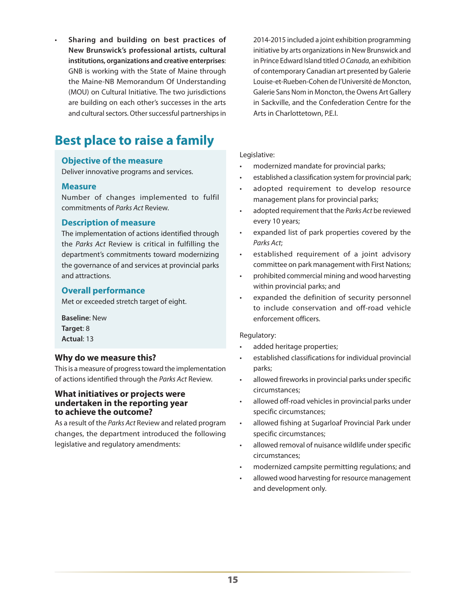Sharing and building on best practices of **New Brunswick's professional artists, cultural institutions, organizations and creative enterprises**: GNB is working with the State of Maine through the Maine-NB Memorandum Of Understanding (MOU) on Cultural Initiative. The two jurisdictions are building on each other's successes in the arts and cultural sectors. Other successful partnerships in

## **Best place to raise a family**

#### **Objective of the measure**

Deliver innovative programs and services.

#### **Measure**

Number of changes implemented to fulfil commitments of *Parks Act* Review.

#### **Description of measure**

The implementation of actions identified through the *Parks Act* Review is critical in fulfilling the department's commitments toward modernizing the governance of and services at provincial parks and attractions.

#### **Overall performance**

Met or exceeded stretch target of eight.

**Baseline**: New **Target**: 8 **Actual**: 13

#### **Why do we measure this?**

This is a measure of progress toward the implementation of actions identified through the *Parks Act* Review.

#### **What initiatives or projects were undertaken in the reporting year to achieve the outcome?**

As a result of the *Parks Act* Review and related program changes, the department introduced the following legislative and regulatory amendments:

2014-2015 included a joint exhibition programming initiative by arts organizations in New Brunswick and in Prince Edward Island titled *O Canada*, an exhibition of contemporary Canadian art presented by Galerie Louise-et-Rueben-Cohen de l'Université de Moncton, Galerie Sans Nom in Moncton, the Owens Art Gallery in Sackville, and the Confederation Centre for the Arts in Charlottetown, P.E.I.

#### Legislative:

- modernized mandate for provincial parks;
- established a classification system for provincial park;
- adopted requirement to develop resource management plans for provincial parks;
- adopted requirement that the *Parks Act* be reviewed every 10 years;
- expanded list of park properties covered by the *Parks Act*;
- established requirement of a joint advisory committee on park management with First Nations;
- prohibited commercial mining and wood harvesting within provincial parks; and
- expanded the definition of security personnel to include conservation and off-road vehicle enforcement officers.

#### Regulatory:

- added heritage properties;
- established classifications for individual provincial parks;
- allowed fireworks in provincial parks under specific circumstances;
- allowed off-road vehicles in provincial parks under specific circumstances;
- allowed fishing at Sugarloaf Provincial Park under specific circumstances;
- allowed removal of nuisance wildlife under specific circumstances;
- modernized campsite permitting regulations; and
- allowed wood harvesting for resource management and development only.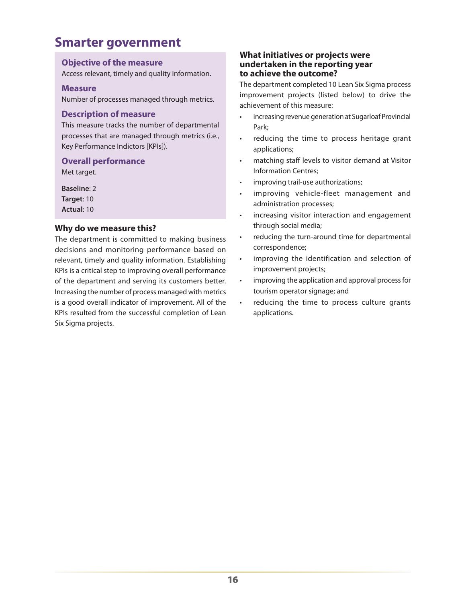### **Smarter government**

#### **Objective of the measure**

Access relevant, timely and quality information.

#### **Measure**

Number of processes managed through metrics.

#### **Description of measure**

This measure tracks the number of departmental processes that are managed through metrics (i.e., Key Performance Indictors [KPIs]).

#### **Overall performance**

Met target.

**Baseline**: 2 **Target**: 10 **Actual**: 10

#### **Why do we measure this?**

The department is committed to making business decisions and monitoring performance based on relevant, timely and quality information. Establishing KPIs is a critical step to improving overall performance of the department and serving its customers better. Increasing the number of process managed with metrics is a good overall indicator of improvement. All of the KPIs resulted from the successful completion of Lean Six Sigma projects.

#### **What initiatives or projects were undertaken in the reporting year to achieve the outcome?**

The department completed 10 Lean Six Sigma process improvement projects (listed below) to drive the achievement of this measure:

- increasing revenue generation at Sugarloaf Provincial Park;
- reducing the time to process heritage grant applications;
- matching staff levels to visitor demand at Visitor Information Centres;
- • improving trail-use authorizations;
- improving vehicle-fleet management and administration processes;
- increasing visitor interaction and engagement through social media;
- • reducing the turn-around time for departmental correspondence;
- • improving the identification and selection of improvement projects;
- improving the application and approval process for tourism operator signage; and
- • reducing the time to process culture grants applications.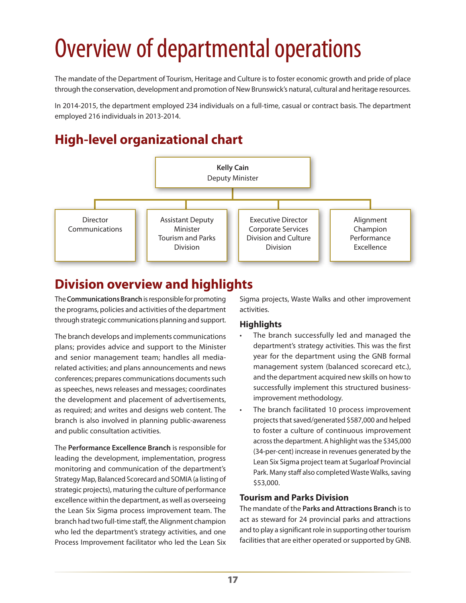# Overview of departmental operations

The mandate of the Department of Tourism, Heritage and Culture is to foster economic growth and pride of place through the conservation, development and promotion of New Brunswick's natural, cultural and heritage resources.

In 2014-2015, the department employed 234 individuals on a full-time, casual or contract basis. The department employed 216 individuals in 2013-2014.

## **High-level organizational chart**



## **Division overview and highlights**

The **Communications Branch** is responsible for promoting the programs, policies and activities of the department through strategic communications planning and support.

The branch develops and implements communications plans; provides advice and support to the Minister and senior management team; handles all mediarelated activities; and plans announcements and news conferences; prepares communications documents such as speeches, news releases and messages; coordinates the development and placement of advertisements, as required; and writes and designs web content. The branch is also involved in planning public-awareness and public consultation activities.

The **Performance Excellence Branch** is responsible for leading the development, implementation, progress monitoring and communication of the department's Strategy Map, Balanced Scorecard and SOMIA (a listing of strategic projects), maturing the culture of performance excellence within the department, as well as overseeing the Lean Six Sigma process improvement team. The branch had two full-time staff, the Alignment champion who led the department's strategy activities, and one Process Improvement facilitator who led the Lean Six

Sigma projects, Waste Walks and other improvement activities.

#### **Highlights**

- • The branch successfully led and managed the department's strategy activities. This was the first year for the department using the GNB formal management system (balanced scorecard etc.), and the department acquired new skills on how to successfully implement this structured businessimprovement methodology.
- The branch facilitated 10 process improvement projects that saved/generated \$587,000 and helped to foster a culture of continuous improvement across the department. A highlight was the \$345,000 (34-per-cent) increase in revenues generated by the Lean Six Sigma project team at Sugarloaf Provincial Park. Many staff also completed Waste Walks, saving \$53,000.

#### **Tourism and Parks Division**

The mandate of the **Parks and Attractions Branch** is to act as steward for 24 provincial parks and attractions and to play a significant role in supporting other tourism facilities that are either operated or supported by GNB.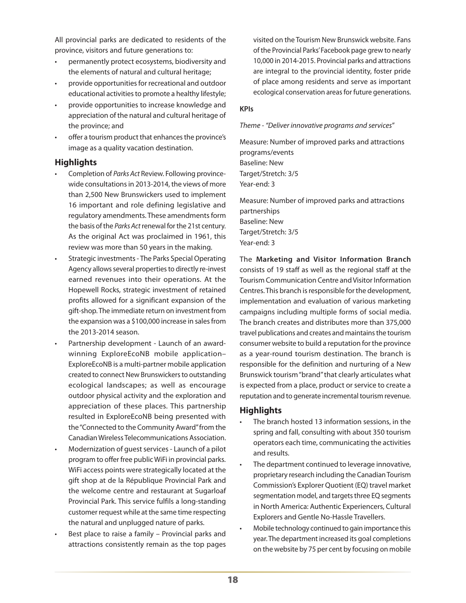All provincial parks are dedicated to residents of the province, visitors and future generations to:

- permanently protect ecosystems, biodiversity and the elements of natural and cultural heritage;
- provide opportunities for recreational and outdoor educational activities to promote a healthy lifestyle;
- provide opportunities to increase knowledge and appreciation of the natural and cultural heritage of the province; and
- offer a tourism product that enhances the province's image as a quality vacation destination.

#### **Highlights**

- Completion of *Parks Act* Review. Following provincewide consultations in 2013-2014, the views of more than 2,500 New Brunswickers used to implement 16 important and role defining legislative and regulatory amendments. These amendments form the basis of the *Parks Act* renewal for the 21st century. As the original Act was proclaimed in 1961, this review was more than 50 years in the making.
- Strategic investments The Parks Special Operating Agency allows several properties to directly re-invest earned revenues into their operations. At the Hopewell Rocks, strategic investment of retained profits allowed for a significant expansion of the gift-shop. The immediate return on investment from the expansion was a \$100,000 increase in sales from the 2013-2014 season.
- Partnership development Launch of an awardwinning ExploreEcoNB mobile application– ExploreEcoNB is a multi-partner mobile application created to connect New Brunswickers to outstanding ecological landscapes; as well as encourage outdoor physical activity and the exploration and appreciation of these places. This partnership resulted in ExploreEcoNB being presented with the "Connected to the Community Award" from the Canadian Wireless Telecommunications Association.
- Modernization of quest services Launch of a pilot program to offer free public WiFi in provincial parks. WiFi access points were strategically located at the gift shop at de la République Provincial Park and the welcome centre and restaurant at Sugarloaf Provincial Park. This service fulfils a long-standing customer request while at the same time respecting the natural and unplugged nature of parks.
- Best place to raise a family Provincial parks and attractions consistently remain as the top pages

visited on the Tourism New Brunswick website. Fans of the Provincial Parks' Facebook page grew to nearly 10,000 in 2014-2015. Provincial parks and attractions are integral to the provincial identity, foster pride of place among residents and serve as important ecological conservation areas for future generations.

#### **KPIs**

*Theme - "Deliver innovative programs and services*"

Measure: Number of improved parks and attractions programs/events Baseline: New Target/Stretch: 3/5 Year-end: 3

Measure: Number of improved parks and attractions partnerships Baseline: New Target/Stretch: 3/5 Year-end: 3

The **Marketing and Visitor Information Branch** consists of 19 staff as well as the regional staff at the Tourism Communication Centre and Visitor Information Centres. This branch is responsible for the development, implementation and evaluation of various marketing campaigns including multiple forms of social media. The branch creates and distributes more than 375,000 travel publications and creates and maintains the tourism consumer website to build a reputation for the province as a year-round tourism destination. The branch is responsible for the definition and nurturing of a New Brunswick tourism "brand" that clearly articulates what is expected from a place, product or service to create a reputation and to generate incremental tourism revenue.

#### **Highlights**

- The branch hosted 13 information sessions, in the spring and fall, consulting with about 350 tourism operators each time, communicating the activities and results.
- The department continued to leverage innovative, proprietary research including the Canadian Tourism Commission's Explorer Quotient (EQ) travel market segmentation model, and targets three EQ segments in North America: Authentic Experiencers, Cultural Explorers and Gentle No-Hassle Travellers.
- Mobile technology continued to gain importance this year. The department increased its goal completions on the website by 75 per cent by focusing on mobile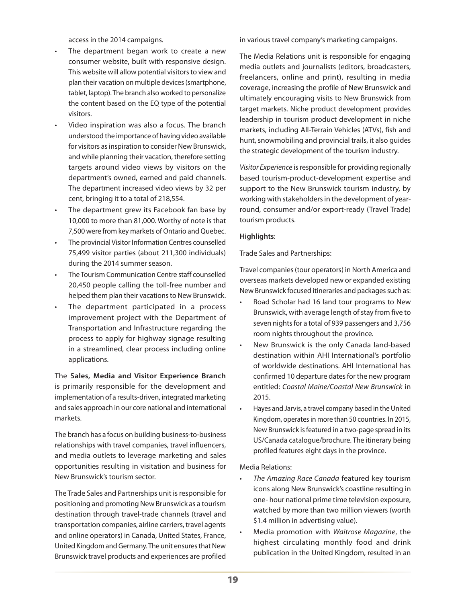access in the 2014 campaigns.

- The department began work to create a new consumer website, built with responsive design. This website will allow potential visitors to view and plan their vacation on multiple devices (smartphone, tablet, laptop). The branch also worked to personalize the content based on the EQ type of the potential visitors.
- Video inspiration was also a focus. The branch understood the importance of having video available for visitors as inspiration to consider New Brunswick, and while planning their vacation, therefore setting targets around video views by visitors on the department's owned, earned and paid channels. The department increased video views by 32 per cent, bringing it to a total of 218,554.
- The department grew its Facebook fan base by 10,000 to more than 81,000. Worthy of note is that 7,500 were from key markets of Ontario and Quebec.
- The provincial Visitor Information Centres counselled 75,499 visitor parties (about 211,300 individuals) during the 2014 summer season.
- The Tourism Communication Centre staff counselled 20,450 people calling the toll-free number and helped them plan their vacations to New Brunswick.
- The department participated in a process improvement project with the Department of Transportation and Infrastructure regarding the process to apply for highway signage resulting in a streamlined, clear process including online applications.

The **Sales, Media and Visitor Experience Branch** is primarily responsible for the development and implementation of a results-driven, integrated marketing and sales approach in our core national and international markets.

The branch has a focus on building business-to-business relationships with travel companies, travel influencers, and media outlets to leverage marketing and sales opportunities resulting in visitation and business for New Brunswick's tourism sector.

The Trade Sales and Partnerships unit is responsible for positioning and promoting New Brunswick as a tourism destination through travel-trade channels (travel and transportation companies, airline carriers, travel agents and online operators) in Canada, United States, France, United Kingdom and Germany. The unit ensures that New Brunswick travel products and experiences are profiled

in various travel company's marketing campaigns.

The Media Relations unit is responsible for engaging media outlets and journalists (editors, broadcasters, freelancers, online and print), resulting in media coverage, increasing the profile of New Brunswick and ultimately encouraging visits to New Brunswick from target markets. Niche product development provides leadership in tourism product development in niche markets, including All-Terrain Vehicles (ATVs), fish and hunt, snowmobiling and provincial trails, it also guides the strategic development of the tourism industry.

*Visitor Experience* is responsible for providing regionally based tourism-product-development expertise and support to the New Brunswick tourism industry, by working with stakeholders in the development of yearround, consumer and/or export-ready (Travel Trade) tourism products.

#### **Highlights**:

Trade Sales and Partnerships:

Travel companies (tour operators) in North America and overseas markets developed new or expanded existing New Brunswick focused itineraries and packages such as:

- Road Scholar had 16 land tour programs to New Brunswick, with average length of stay from five to seven nights for a total of 939 passengers and 3,756 room nights throughout the province.
- New Brunswick is the only Canada land-based destination within AHI International's portfolio of worldwide destinations. AHI International has confirmed 10 departure dates for the new program entitled: *Coastal Maine/Coastal New Brunswick* in 2015.
- Hayes and Jarvis, a travel company based in the United Kingdom, operates in more than 50 countries. In 2015, New Brunswick is featured in a two-page spread in its US/Canada catalogue/brochure. The itinerary being profiled features eight days in the province.

Media Relations:

- The Amazing Race Canada featured key tourism icons along New Brunswick's coastline resulting in one- hour national prime time television exposure, watched by more than two million viewers (worth \$1.4 million in advertising value).
- Media promotion with *Waitrose Magazine*, the highest circulating monthly food and drink publication in the United Kingdom, resulted in an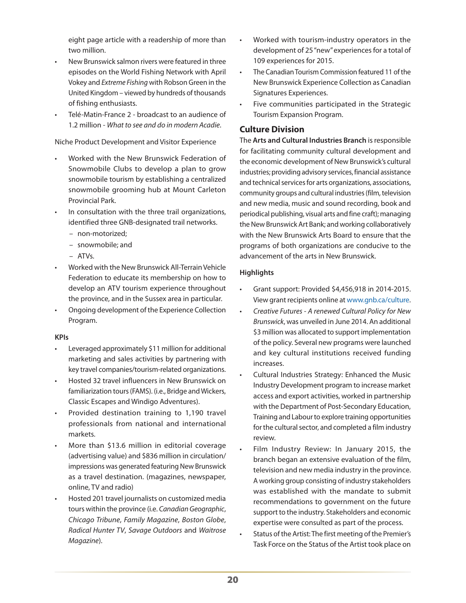eight page article with a readership of more than two million.

- New Brunswick salmon rivers were featured in three episodes on the World Fishing Network with April Vokey and *Extreme Fishing* with Robson Green in the United Kingdom – viewed by hundreds of thousands of fishing enthusiasts.
- Telé-Matin-France 2 broadcast to an audience of 1.2 million - *What to see and do in modern Acadie*.

Niche Product Development and Visitor Experience

- Worked with the New Brunswick Federation of Snowmobile Clubs to develop a plan to grow snowmobile tourism by establishing a centralized snowmobile grooming hub at Mount Carleton Provincial Park.
- In consultation with the three trail organizations, identified three GNB-designated trail networks.
	- non-motorized;
	- snowmobile; and
	- ATVs.
- Worked with the New Brunswick All-Terrain Vehicle Federation to educate its membership on how to develop an ATV tourism experience throughout the province, and in the Sussex area in particular.
- Ongoing development of the Experience Collection Program.

#### **KPIs**

- Leveraged approximately \$11 million for additional marketing and sales activities by partnering with key travel companies/tourism-related organizations.
- Hosted 32 travel influencers in New Brunswick on familiarization tours (FAMS). (i.e., Bridge and Wickers, Classic Escapes and Windigo Adventures).
- Provided destination training to 1,190 travel professionals from national and international markets.
- More than \$13.6 million in editorial coverage (advertising value) and \$836 million in circulation/ impressions was generated featuring New Brunswick as a travel destination. (magazines, newspaper, online, TV and radio)
- Hosted 201 travel journalists on customized media tours within the province (i.e. *Canadian Geographic*, *Chicago Tribune*, *Family Magazine*, *Boston Globe*, *Radical Hunter TV*, *Savage Outdoors* and *Waitrose Magazine*).
- Worked with tourism-industry operators in the development of 25 "new" experiences for a total of 109 experiences for 2015.
- The Canadian Tourism Commission featured 11 of the New Brunswick Experience Collection as Canadian Signatures Experiences.
- Five communities participated in the Strategic Tourism Expansion Program.

#### **Culture Division**

The **Arts and Cultural Industries Branch** is responsible for facilitating community cultural development and the economic development of New Brunswick's cultural industries; providing advisory services, financial assistance and technical services for arts organizations, associations, community groups and cultural industries (film, television and new media, music and sound recording, book and periodical publishing, visual arts and fine craft); managing the New Brunswick Art Bank; and working collaboratively with the New Brunswick Arts Board to ensure that the programs of both organizations are conducive to the advancement of the arts in New Brunswick.

#### **Highlights**

- Grant support: Provided \$4,456,918 in 2014-2015. View grant recipients online at [www.gnb.ca/culture.](http://www.gnb.ca/culture)
- • *Creative Futures A renewed Cultural Policy for New Brunswick*, was unveiled in June 2014. An additional \$3 million was allocated to support implementation of the policy. Several new programs were launched and key cultural institutions received funding increases.
- Cultural Industries Strategy: Enhanced the Music Industry Development program to increase market access and export activities, worked in partnership with the Department of Post-Secondary Education, Training and Labour to explore training opportunities for the cultural sector, and completed a film industry review.
- Film Industry Review: In January 2015, the branch began an extensive evaluation of the film, television and new media industry in the province. A working group consisting of industry stakeholders was established with the mandate to submit recommendations to government on the future support to the industry. Stakeholders and economic expertise were consulted as part of the process.
- Status of the Artist: The first meeting of the Premier's Task Force on the Status of the Artist took place on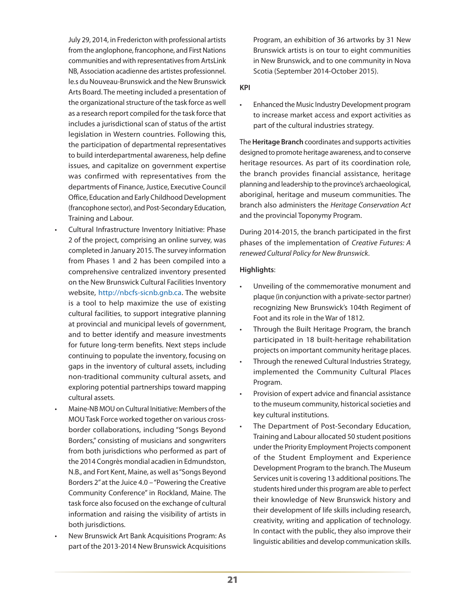July 29, 2014, in Fredericton with professional artists from the anglophone, francophone, and First Nations communities and with representatives from ArtsLink NB, Association acadienne des artistes professionnel. le.s du Nouveau-Brunswick and the New Brunswick Arts Board. The meeting included a presentation of the organizational structure of the task force as well as a research report compiled for the task force that includes a jurisdictional scan of status of the artist legislation in Western countries. Following this, the participation of departmental representatives to build interdepartmental awareness, help define issues, and capitalize on government expertise was confirmed with representatives from the departments of Finance, Justice, Executive Council Office, Education and Early Childhood Development (francophone sector), and Post-Secondary Education, Training and Labour.

- Cultural Infrastructure Inventory Initiative: Phase 2 of the project, comprising an online survey, was completed in January 2015. The survey information from Phases 1 and 2 has been compiled into a comprehensive centralized inventory presented on the New Brunswick Cultural Facilities Inventory website, [http://nbcfs-sicnb.gnb.ca.](http://nbcfs-sicnb.gnb.ca) The website is a tool to help maximize the use of existing cultural facilities, to support integrative planning at provincial and municipal levels of government, and to better identify and measure investments for future long-term benefits. Next steps include continuing to populate the inventory, focusing on gaps in the inventory of cultural assets, including non-traditional community cultural assets, and exploring potential partnerships toward mapping cultural assets.
- Maine-NB MOU on Cultural Initiative: Members of the MOU Task Force worked together on various crossborder collaborations, including "Songs Beyond Borders," consisting of musicians and songwriters from both jurisdictions who performed as part of the 2014 Congrès mondial acadien in Edmundston, N.B., and Fort Kent, Maine, as well as "Songs Beyond Borders 2" at the Juice 4.0 – "Powering the Creative Community Conference" in Rockland, Maine. The task force also focused on the exchange of cultural information and raising the visibility of artists in both jurisdictions.
- New Brunswick Art Bank Acquisitions Program: As part of the 2013-2014 New Brunswick Acquisitions

Program, an exhibition of 36 artworks by 31 New Brunswick artists is on tour to eight communities in New Brunswick, and to one community in Nova Scotia (September 2014-October 2015).

#### **KPI**

Enhanced the Music Industry Development program to increase market access and export activities as part of the cultural industries strategy.

The **Heritage Branch** coordinates and supports activities designed to promote heritage awareness, and to conserve heritage resources. As part of its coordination role, the branch provides financial assistance, heritage planning and leadership to the province's archaeological, aboriginal, heritage and museum communities. The branch also administers the *Heritage Conservation Act* and the provincial Toponymy Program.

During 2014-2015, the branch participated in the first phases of the implementation of *Creative Futures: A renewed Cultural Policy for New Brunswick*.

#### **Highlights**:

- Unveiling of the commemorative monument and plaque (in conjunction with a private-sector partner) recognizing New Brunswick's 104th Regiment of Foot and its role in the War of 1812.
- Through the Built Heritage Program, the branch participated in 18 built-heritage rehabilitation projects on important community heritage places.
- Through the renewed Cultural Industries Strategy, implemented the Community Cultural Places Program.
- Provision of expert advice and financial assistance to the museum community, historical societies and key cultural institutions.
- The Department of Post-Secondary Education, Training and Labour allocated 50 student positions under the Priority Employment Projects component of the Student Employment and Experience Development Program to the branch. The Museum Services unit is covering 13 additional positions. The students hired under this program are able to perfect their knowledge of New Brunswick history and their development of life skills including research, creativity, writing and application of technology. In contact with the public, they also improve their linguistic abilities and develop communication skills.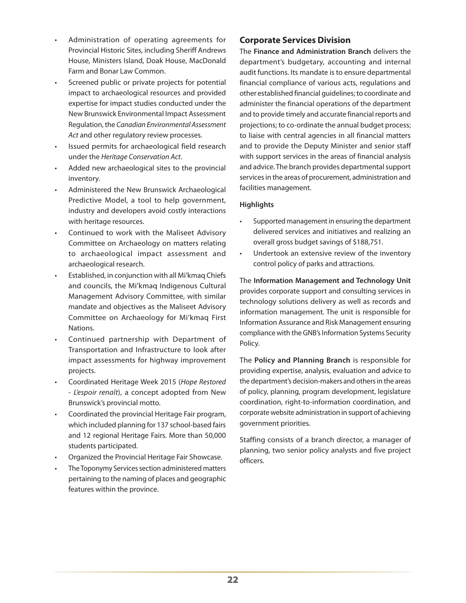- Administration of operating agreements for Provincial Historic Sites, including Sheriff Andrews House, Ministers Island, Doak House, MacDonald Farm and Bonar Law Common.
- Screened public or private projects for potential impact to archaeological resources and provided expertise for impact studies conducted under the New Brunswick Environmental Impact Assessment Regulation, the *Canadian Environmental Assessment Act* and other regulatory review processes.
- Issued permits for archaeological field research under the *Heritage Conservation Act*.
- Added new archaeological sites to the provincial inventory.
- Administered the New Brunswick Archaeological Predictive Model, a tool to help government, industry and developers avoid costly interactions with heritage resources.
- Continued to work with the Maliseet Advisory Committee on Archaeology on matters relating to archaeological impact assessment and archaeological research.
- Established, in conjunction with all Mi'kmaq Chiefs and councils, the Mi'kmaq Indigenous Cultural Management Advisory Committee, with similar mandate and objectives as the Maliseet Advisory Committee on Archaeology for Mi'kmaq First Nations.
- Continued partnership with Department of Transportation and Infrastructure to look after impact assessments for highway improvement projects.
- • Coordinated Heritage Week 2015 (*Hope Restored*  - *L'espoir renaît*), a concept adopted from New Brunswick's provincial motto.
- Coordinated the provincial Heritage Fair program, which included planning for 137 school-based fairs and 12 regional Heritage Fairs. More than 50,000 students participated.
- Organized the Provincial Heritage Fair Showcase.
- The Toponymy Services section administered matters pertaining to the naming of places and geographic features within the province.

#### **Corporate Services Division**

The **Finance and Administration Branch** delivers the department's budgetary, accounting and internal audit functions. Its mandate is to ensure departmental financial compliance of various acts, regulations and other established financial guidelines; to coordinate and administer the financial operations of the department and to provide timely and accurate financial reports and projections; to co-ordinate the annual budget process; to liaise with central agencies in all financial matters and to provide the Deputy Minister and senior staff with support services in the areas of financial analysis and advice. The branch provides departmental support services in the areas of procurement, administration and facilities management.

#### **Highlights**

- Supported management in ensuring the department delivered services and initiatives and realizing an overall gross budget savings of \$188,751.
- • Undertook an extensive review of the inventory control policy of parks and attractions.

The **Information Management and Technology Unit** provides corporate support and consulting services in technology solutions delivery as well as records and information management. The unit is responsible for Information Assurance and Risk Management ensuring compliance with the GNB's Information Systems Security Policy.

The **Policy and Planning Branch** is responsible for providing expertise, analysis, evaluation and advice to the department's decision-makers and others in the areas of policy, planning, program development, legislature coordination, right-to-information coordination, and corporate website administration in support of achieving government priorities.

Staffing consists of a branch director, a manager of planning, two senior policy analysts and five project officers.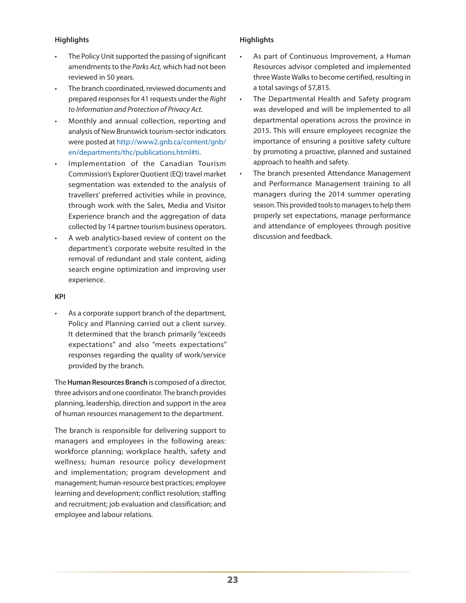#### **Highlights**

- The Policy Unit supported the passing of significant amendments to the *Parks Act,* which had not been reviewed in 50 years.
- The branch coordinated, reviewed documents and prepared responses for 41 requests under the *Right to Information and Protection of Privacy Act*.
- Monthly and annual collection, reporting and analysis of New Brunswick tourism-sector indicators were posted at [http://www2.gnb.ca/content/gnb/](http://www2.gnb.ca/content/gnb/en/departments/thc/publications.html#ti) [en/departments/thc/publications.html#ti.](http://www2.gnb.ca/content/gnb/en/departments/thc/publications.html#ti)
- Implementation of the Canadian Tourism Commission's Explorer Quotient (EQ) travel market segmentation was extended to the analysis of travellers' preferred activities while in province, through work with the Sales, Media and Visitor Experience branch and the aggregation of data collected by 14 partner tourism business operators.
- A web analytics-based review of content on the department's corporate website resulted in the removal of redundant and stale content, aiding search engine optimization and improving user experience.

#### **KPI**

As a corporate support branch of the department, Policy and Planning carried out a client survey. It determined that the branch primarily "exceeds expectations" and also "meets expectations" responses regarding the quality of work/service provided by the branch.

The **Human Resources Branch** is composed of a director, three advisors and one coordinator. The branch provides planning, leadership, direction and support in the area of human resources management to the department.

The branch is responsible for delivering support to managers and employees in the following areas: workforce planning; workplace health, safety and wellness; human resource policy development and implementation; program development and management; human-resource best practices; employee learning and development; conflict resolution; staffing and recruitment; job evaluation and classification; and employee and labour relations.

#### **Highlights**

- As part of Continuous Improvement, a Human Resources advisor completed and implemented three Waste Walks to become certified, resulting in a total savings of \$7,815.
- The Departmental Health and Safety program was developed and will be implemented to all departmental operations across the province in 2015. This will ensure employees recognize the importance of ensuring a positive safety culture by promoting a proactive, planned and sustained approach to health and safety.
- • The branch presented Attendance Management and Performance Management training to all managers during the 2014 summer operating season. This provided tools to managers to help them properly set expectations, manage performance and attendance of employees through positive discussion and feedback.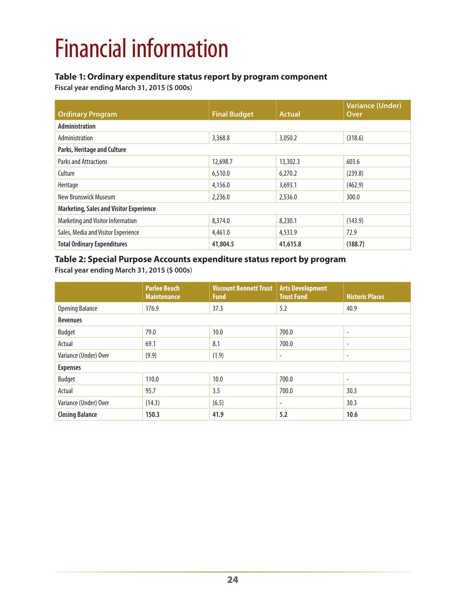# Financial information

#### **Table 1: Ordinary expenditure status report by program component**

**Fiscal year ending March 31, 2015 (\$ 000s**)

| <b>Ordinary Program</b>                        | <b>Final Budget</b> | <b>Actual</b> | <b>Variance (Under)</b><br>Over |
|------------------------------------------------|---------------------|---------------|---------------------------------|
| <b>Administration</b>                          |                     |               |                                 |
| Administration                                 | 3,368.8             | 3,050.2       | (318.6)                         |
| Parks, Heritage and Culture                    |                     |               |                                 |
| <b>Parks and Attractions</b>                   | 12,698.7            | 13,302.3      | 603.6                           |
| Culture                                        | 6,510.0             | 6,270.2       | (239.8)                         |
| Heritage                                       | 4,156.0             | 3,693.1       | (462.9)                         |
| New Brunswick Museum                           | 2,236.0             | 2,536.0       | 300.0                           |
| <b>Marketing, Sales and Visitor Experience</b> |                     |               |                                 |
| Marketing and Visitor Information              | 8,374.0             | 8,230.1       | (143.9)                         |
| Sales, Media and Visitor Experience            | 4,461.0             | 4,533.9       | 72.9                            |
| <b>Total Ordinary Expenditures</b>             | 41,804.5            | 41,615.8      | (188.7)                         |

#### **Table 2: Special Purpose Accounts expenditure status report by program Fiscal year ending March 31, 2015 (\$ 000s**)

|                        | <b>Parlee Beach</b><br><b>Maintenance</b> | <b>Viscount Bennett Trust</b><br><b>Fund</b> | <b>Arts Development</b><br><b>Trust Fund</b> | <b>Historic Places</b>   |
|------------------------|-------------------------------------------|----------------------------------------------|----------------------------------------------|--------------------------|
| <b>Opening Balance</b> | 176.9                                     | 37.3                                         | 5.2                                          | 40.9                     |
| <b>Revenues</b>        |                                           |                                              |                                              |                          |
| <b>Budget</b>          | 79.0                                      | 10.0                                         | 700.0                                        | $\overline{\phantom{a}}$ |
| Actual                 | 69.1                                      | 8.1                                          | 700.0                                        | ٠                        |
| Variance (Under) Over  | (9.9)                                     | (1.9)                                        | $\overline{\phantom{a}}$                     | $\overline{\phantom{a}}$ |
| <b>Expenses</b>        |                                           |                                              |                                              |                          |
| Budget                 | 110.0                                     | 10.0                                         | 700.0                                        | ٠                        |
| Actual                 | 95.7                                      | 3.5                                          | 700.0                                        | 30.3                     |
| Variance (Under) Over  | (14.3)                                    | (6.5)                                        | $\overline{\phantom{a}}$                     | 30.3                     |
| <b>Closing Balance</b> | 150.3                                     | 41.9                                         | 5.2                                          | 10.6                     |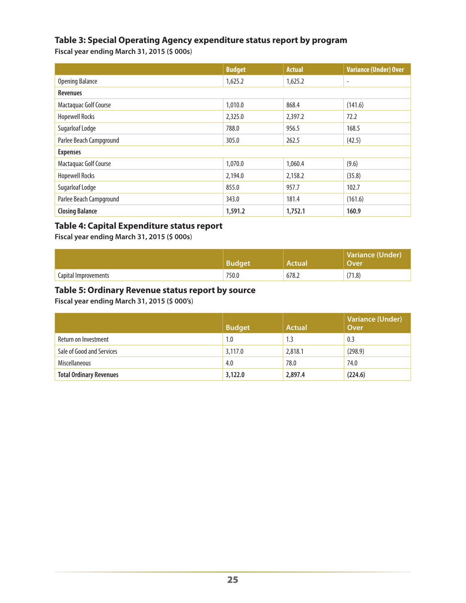#### **Table 3: Special Operating Agency expenditure status report by program**

**Fiscal year ending March 31, 2015 (\$ 000s**)

|                         | <b>Budget</b> | <b>Actual</b> | <b>Variance (Under) Over</b> |
|-------------------------|---------------|---------------|------------------------------|
| <b>Opening Balance</b>  | 1,625.2       | 1,625.2       | $\overline{\phantom{a}}$     |
| <b>Revenues</b>         |               |               |                              |
| Mactaquac Golf Course   | 1,010.0       | 868.4         | (141.6)                      |
| <b>Hopewell Rocks</b>   | 2,325.0       | 2,397.2       | 72.2                         |
| Sugarloaf Lodge         | 788.0         | 956.5         | 168.5                        |
| Parlee Beach Campground | 305.0         | 262.5         | (42.5)                       |
| <b>Expenses</b>         |               |               |                              |
| Mactaquac Golf Course   | 1,070.0       | 1,060.4       | (9.6)                        |
| <b>Hopewell Rocks</b>   | 2,194.0       | 2,158.2       | (35.8)                       |
| Sugarloaf Lodge         | 855.0         | 957.7         | 102.7                        |
| Parlee Beach Campground | 343.0         | 181.4         | (161.6)                      |
| <b>Closing Balance</b>  | 1,591.2       | 1,752.1       | 160.9                        |

#### **Table 4: Capital Expenditure status report**

**Fiscal year ending March 31, 2015 (\$ 000s**)

|                      | Budget | Actual | <b>Variance (Under)</b><br>Over |
|----------------------|--------|--------|---------------------------------|
| Capital Improvements | 750.0  | 678.2  | (71.8)                          |

#### **Table 5: Ordinary Revenue status report by source**

**Fiscal year ending March 31, 2015 (\$ 000's**)

|                                | <b>Budget</b> | <b>Actual</b> | <b>Variance (Under)</b><br>Over |
|--------------------------------|---------------|---------------|---------------------------------|
| Return on Investment           | 1.0           | 1.3           | 0.3                             |
| Sale of Good and Services      | 3,117.0       | 2,818.1       | (298.9)                         |
| <b>Miscellaneous</b>           | 4.0           | 78.0          | 74.0                            |
| <b>Total Ordinary Revenues</b> | 3,122.0       | 2,897.4       | (224.6)                         |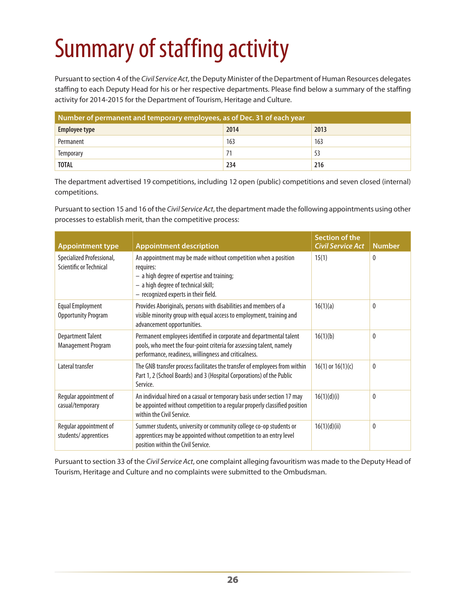# Summary of staffing activity

Pursuant to section 4 of the *Civil Service Act*, the Deputy Minister of the Department of Human Resources delegates staffing to each Deputy Head for his or her respective departments. Please find below a summary of the staffing activity for 2014-2015 for the Department of Tourism, Heritage and Culture.

| Number of permanent and temporary employees, as of Dec. 31 of each year |      |      |  |
|-------------------------------------------------------------------------|------|------|--|
| Employee type                                                           | 2014 | 2013 |  |
| Permanent                                                               | 163  | 163  |  |
| Temporary                                                               | 71   |      |  |
| <b>TOTAL</b>                                                            | 234  | 216  |  |

The department advertised 19 competitions, including 12 open (public) competitions and seven closed (internal) competitions.

Pursuant to section 15 and 16 of the *Civil Service Act*, the department made the following appointments using other processes to establish merit, than the competitive process:

| <b>Appointment type</b>                               | <b>Appointment description</b>                                                                                                                                                                           | Section of the<br><b>Civil Service Act</b> | <b>Number</b> |
|-------------------------------------------------------|----------------------------------------------------------------------------------------------------------------------------------------------------------------------------------------------------------|--------------------------------------------|---------------|
| Specialized Professional,<br>Scientific or Technical  | An appointment may be made without competition when a position<br>requires:<br>- a high degree of expertise and training;<br>- a high degree of technical skill;<br>- recognized experts in their field. | 15(1)                                      | 0             |
| <b>Equal Employment</b><br><b>Opportunity Program</b> | Provides Aboriginals, persons with disabilities and members of a<br>visible minority group with equal access to employment, training and<br>advancement opportunities.                                   | 16(1)(a)                                   | $\theta$      |
| <b>Department Talent</b><br>Management Program        | Permanent employees identified in corporate and departmental talent<br>pools, who meet the four-point criteria for assessing talent, namely<br>performance, readiness, willingness and criticalness.     | 16(1)(b)                                   | 0             |
| Lateral transfer                                      | The GNB transfer process facilitates the transfer of employees from within<br>Part 1, 2 (School Boards) and 3 (Hospital Corporations) of the Public<br>Service.                                          | $16(1)$ or $16(1)(c)$                      | 0             |
| Regular appointment of<br>casual/temporary            | An individual hired on a casual or temporary basis under section 17 may<br>be appointed without competition to a regular properly classified position<br>within the Civil Service.                       | 16(1)(d)(i)                                | 0             |
| Regular appointment of<br>students/apprentices        | Summer students, university or community college co-op students or<br>apprentices may be appointed without competition to an entry level<br>position within the Civil Service.                           | 16(1)(d)(ii)                               | 0             |

Pursuant to section 33 of the *Civil Service Act*, one complaint alleging favouritism was made to the Deputy Head of Tourism, Heritage and Culture and no complaints were submitted to the Ombudsman.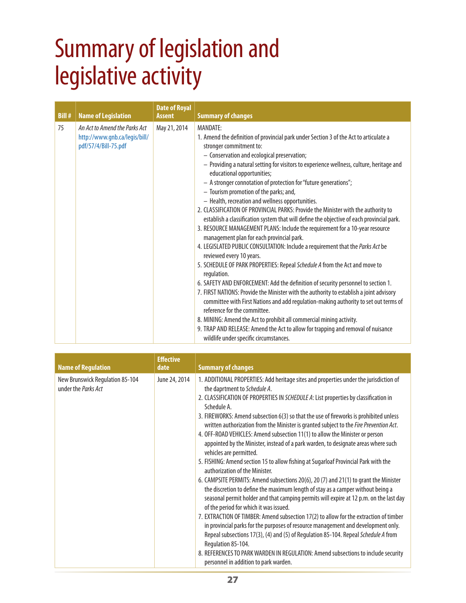## Summary of legislation and legislative activity

| <b>Bill#</b> | <b>Name of Legislation</b>                                                             | <b>Date of Royal</b><br><b>Assent</b> | <b>Summary of changes</b>                                                                                                                                                                                                                                                                                                                                                                                                                                                                                                                                                                                                                                                                                                                                                                                                                                                                                                                                                                                                                                                                                                                                                                                                                                                                                                                                                                                                                                                                                              |
|--------------|----------------------------------------------------------------------------------------|---------------------------------------|------------------------------------------------------------------------------------------------------------------------------------------------------------------------------------------------------------------------------------------------------------------------------------------------------------------------------------------------------------------------------------------------------------------------------------------------------------------------------------------------------------------------------------------------------------------------------------------------------------------------------------------------------------------------------------------------------------------------------------------------------------------------------------------------------------------------------------------------------------------------------------------------------------------------------------------------------------------------------------------------------------------------------------------------------------------------------------------------------------------------------------------------------------------------------------------------------------------------------------------------------------------------------------------------------------------------------------------------------------------------------------------------------------------------------------------------------------------------------------------------------------------------|
| 75           | An Act to Amend the Parks Act<br>http://www.gnb.ca/legis/bill/<br>pdf/57/4/Bill-75.pdf | May 21, 2014                          | <b>MANDATE:</b><br>1. Amend the definition of provincial park under Section 3 of the Act to articulate a<br>stronger commitment to:<br>- Conservation and ecological preservation;<br>- Providing a natural setting for visitors to experience wellness, culture, heritage and<br>educational opportunities;<br>- A stronger connotation of protection for "future generations";<br>- Tourism promotion of the parks; and,<br>- Health, recreation and wellness opportunities.<br>2. CLASSIFICATION OF PROVINCIAL PARKS: Provide the Minister with the authority to<br>establish a classification system that will define the objective of each provincial park.<br>3. RESOURCE MANAGEMENT PLANS: Include the requirement for a 10-year resource<br>management plan for each provincial park.<br>4. LEGISLATED PUBLIC CONSULTATION: Include a requirement that the Parks Act be<br>reviewed every 10 years.<br>5. SCHEDULE OF PARK PROPERTIES: Repeal Schedule A from the Act and move to<br>regulation.<br>6. SAFETY AND ENFORCEMENT: Add the definition of security personnel to section 1.<br>7. FIRST NATIONS: Provide the Minister with the authority to establish a joint advisory<br>committee with First Nations and add regulation-making authority to set out terms of<br>reference for the committee.<br>8. MINING: Amend the Act to prohibit all commercial mining activity.<br>9. TRAP AND RELEASE: Amend the Act to allow for trapping and removal of nuisance<br>wildlife under specific circumstances. |

| <b>Name of Regulation</b>                              | <b>Effective</b><br>date | <b>Summary of changes</b>                                                                                                                                                                                                                                                                                                                                                                                                                                                                                                                                                                                                                                                                                                                                                                                                                                                                                                                                                                                                                                                                                                                                                                                                                                                                                                                                                                                                                                                       |
|--------------------------------------------------------|--------------------------|---------------------------------------------------------------------------------------------------------------------------------------------------------------------------------------------------------------------------------------------------------------------------------------------------------------------------------------------------------------------------------------------------------------------------------------------------------------------------------------------------------------------------------------------------------------------------------------------------------------------------------------------------------------------------------------------------------------------------------------------------------------------------------------------------------------------------------------------------------------------------------------------------------------------------------------------------------------------------------------------------------------------------------------------------------------------------------------------------------------------------------------------------------------------------------------------------------------------------------------------------------------------------------------------------------------------------------------------------------------------------------------------------------------------------------------------------------------------------------|
| New Brunswick Regulation 85-104<br>under the Parks Act | June 24, 2014            | 1. ADDITIONAL PROPERTIES: Add heritage sites and properties under the jurisdiction of<br>the daprtment to Schedule A.<br>2. CLASSIFICATION OF PROPERTIES IN SCHEDULE A: List properties by classification in<br>Schedule A.<br>3. FIREWORKS: Amend subsection 6(3) so that the use of fireworks is prohibited unless<br>written authorization from the Minister is granted subject to the Fire Prevention Act.<br>4. OFF-ROAD VEHICLES: Amend subsection 11(1) to allow the Minister or person<br>appointed by the Minister, instead of a park warden, to designate areas where such<br>vehicles are permitted.<br>5. FISHING: Amend section 15 to allow fishing at Sugarloaf Provincial Park with the<br>authorization of the Minister.<br>6. CAMPSITE PERMITS: Amend subsections 20(6), 20 (7) and 21(1) to grant the Minister<br>the discretion to define the maximum length of stay as a camper without being a<br>seasonal permit holder and that camping permits will expire at 12 p.m. on the last day<br>of the period for which it was issued.<br>7. EXTRACTION OF TIMBER: Amend subsection 17(2) to allow for the extraction of timber<br>in provincial parks for the purposes of resource management and development only.<br>Repeal subsections 17(3), (4) and (5) of Regulation 85-104. Repeal Schedule A from<br>Regulation 85-104.<br>8. REFERENCES TO PARK WARDEN IN REGULATION: Amend subsections to include security<br>personnel in addition to park warden. |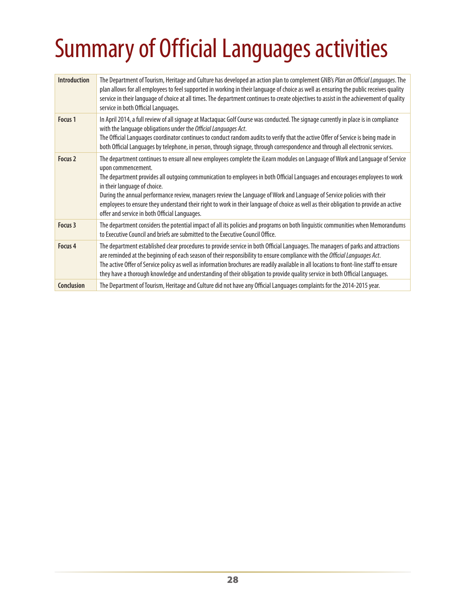# Summary of Official Languages activities

| <b>Introduction</b> | The Department of Tourism, Heritage and Culture has developed an action plan to complement GNB's Plan on Official Languages. The<br>plan allows for all employees to feel supported in working in their language of choice as well as ensuring the public receives quality<br>service in their language of choice at all times. The department continues to create objectives to assist in the achievement of quality<br>service in both Official Languages.                                                                                                                                                                         |
|---------------------|--------------------------------------------------------------------------------------------------------------------------------------------------------------------------------------------------------------------------------------------------------------------------------------------------------------------------------------------------------------------------------------------------------------------------------------------------------------------------------------------------------------------------------------------------------------------------------------------------------------------------------------|
| Focus <sub>1</sub>  | In April 2014, a full review of all signage at Mactaguac Golf Course was conducted. The signage currently in place is in compliance<br>with the language obligations under the Official Languages Act.<br>The Official Languages coordinator continues to conduct random audits to verify that the active Offer of Service is being made in<br>both Official Languages by telephone, in person, through signage, through correspondence and through all electronic services.                                                                                                                                                         |
| Focus <sub>2</sub>  | The department continues to ensure all new employees complete the iLearn modules on Language of Work and Language of Service<br>upon commencement.<br>The department provides all outgoing communication to employees in both Official Languages and encourages employees to work<br>in their language of choice.<br>During the annual performance review, managers review the Language of Work and Language of Service policies with their<br>employees to ensure they understand their right to work in their language of choice as well as their obligation to provide an active<br>offer and service in both Official Languages. |
| Focus 3             | The department considers the potential impact of all its policies and programs on both linguistic communities when Memorandums<br>to Executive Council and briefs are submitted to the Executive Council Office.                                                                                                                                                                                                                                                                                                                                                                                                                     |
| Focus 4             | The department established clear procedures to provide service in both Official Languages. The managers of parks and attractions<br>are reminded at the beginning of each season of their responsibility to ensure compliance with the Official Languages Act.<br>The active Offer of Service policy as well as information brochures are readily available in all locations to front-line staff to ensure<br>they have a thorough knowledge and understanding of their obligation to provide quality service in both Official Languages.                                                                                            |
| <b>Conclusion</b>   | The Department of Tourism, Heritage and Culture did not have any Official Languages complaints for the 2014-2015 year.                                                                                                                                                                                                                                                                                                                                                                                                                                                                                                               |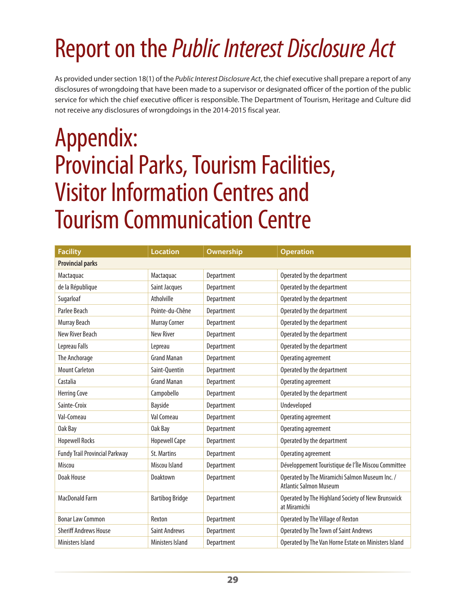# Report on the *Public Interest Disclosure Act*

As provided under section 18(1) of the *Public Interest Disclosure Act*, the chief executive shall prepare a report of any disclosures of wrongdoing that have been made to a supervisor or designated officer of the portion of the public service for which the chief executive officer is responsible. The Department of Tourism, Heritage and Culture did not receive any disclosures of wrongdoings in the 2014-2015 fiscal year.

## Appendix: Provincial Parks, Tourism Facilities, Visitor Information Centres and Tourism Communication Centre

| <b>Facility</b>                       | <b>Location</b>         | Ownership  | <b>Operation</b>                                                                |  |  |
|---------------------------------------|-------------------------|------------|---------------------------------------------------------------------------------|--|--|
| <b>Provincial parks</b>               |                         |            |                                                                                 |  |  |
| Mactaquac                             | Mactaquac               | Department | Operated by the department                                                      |  |  |
| de la République                      | Saint Jacques           | Department | Operated by the department                                                      |  |  |
| Sugarloaf                             | Atholville              | Department | Operated by the department                                                      |  |  |
| Parlee Beach                          | Pointe-du-Chêne         | Department | Operated by the department                                                      |  |  |
| Murray Beach                          | <b>Murray Corner</b>    | Department | Operated by the department                                                      |  |  |
| New River Beach                       | <b>New River</b>        | Department | Operated by the department                                                      |  |  |
| Lepreau Falls                         | Lepreau                 | Department | Operated by the department                                                      |  |  |
| The Anchorage                         | <b>Grand Manan</b>      | Department | Operating agreement                                                             |  |  |
| <b>Mount Carleton</b>                 | Saint-Quentin           | Department | Operated by the department                                                      |  |  |
| Castalia                              | <b>Grand Manan</b>      | Department | Operating agreement                                                             |  |  |
| <b>Herring Cove</b>                   | Campobello              | Department | Operated by the department                                                      |  |  |
| Sainte-Croix                          | Bayside                 | Department | Undeveloped                                                                     |  |  |
| Val-Comeau                            | Val Comeau              | Department | Operating agreement                                                             |  |  |
| Oak Bay                               | Oak Bay                 | Department | Operating agreement                                                             |  |  |
| <b>Hopewell Rocks</b>                 | <b>Hopewell Cape</b>    | Department | Operated by the department                                                      |  |  |
| <b>Fundy Trail Provincial Parkway</b> | <b>St. Martins</b>      | Department | Operating agreement                                                             |  |  |
| Miscou                                | Miscou Island           | Department | Développement Touristique de l'Île Miscou Committee                             |  |  |
| Doak House                            | Doaktown                | Department | Operated by The Miramichi Salmon Museum Inc. /<br><b>Atlantic Salmon Museum</b> |  |  |
| <b>MacDonald Farm</b>                 | <b>Bartibog Bridge</b>  | Department | Operated by The Highland Society of New Brunswick<br>at Miramichi               |  |  |
| <b>Bonar Law Common</b>               | Rexton                  | Department | Operated by The Village of Rexton                                               |  |  |
| <b>Sheriff Andrews House</b>          | <b>Saint Andrews</b>    | Department | Operated by The Town of Saint Andrews                                           |  |  |
| Ministers Island                      | <b>Ministers Island</b> | Department | Operated by The Van Horne Estate on Ministers Island                            |  |  |